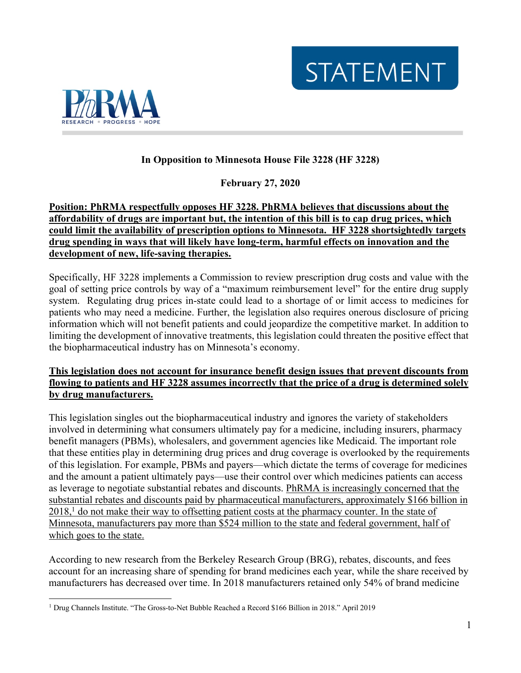**STATEMENT** 



# **In Opposition to Minnesota House File 3228 (HF 3228)**

**February 27, 2020**

#### **Position: PhRMA respectfully opposes HF 3228. PhRMA believes that discussions about the affordability of drugs are important but, the intention of this bill is to cap drug prices, which could limit the availability of prescription options to Minnesota. HF 3228 shortsightedly targets drug spending in ways that will likely have long-term, harmful effects on innovation and the development of new, life-saving therapies.**

Specifically, HF 3228 implements a Commission to review prescription drug costs and value with the goal of setting price controls by way of a "maximum reimbursement level" for the entire drug supply system. Regulating drug prices in-state could lead to a shortage of or limit access to medicines for patients who may need a medicine. Further, the legislation also requires onerous disclosure of pricing information which will not benefit patients and could jeopardize the competitive market. In addition to limiting the development of innovative treatments, this legislation could threaten the positive effect that the biopharmaceutical industry has on Minnesota's economy.

## **This legislation does not account for insurance benefit design issues that prevent discounts from flowing to patients and HF 3228 assumes incorrectly that the price of a drug is determined solely by drug manufacturers.**

This legislation singles out the biopharmaceutical industry and ignores the variety of stakeholders involved in determining what consumers ultimately pay for a medicine, including insurers, pharmacy benefit managers (PBMs), wholesalers, and government agencies like Medicaid. The important role that these entities play in determining drug prices and drug coverage is overlooked by the requirements of this legislation. For example, PBMs and payers—which dictate the terms of coverage for medicines and the amount a patient ultimately pays—use their control over which medicines patients can access as leverage to negotiate substantial rebates and discounts. PhRMA is increasingly concerned that the substantial rebates and discounts paid by pharmaceutical manufacturers, approximately \$166 billion in 2018,<sup>1</sup> do not make their way to offsetting patient costs at the pharmacy counter. In the state of Minnesota, manufacturers pay more than \$524 million to the state and federal government, half of which goes to the state.

According to new research from the Berkeley Research Group (BRG), rebates, discounts, and fees account for an increasing share of spending for brand medicines each year, while the share received by manufacturers has decreased over time. In 2018 manufacturers retained only 54% of brand medicine

<sup>1</sup> Drug Channels Institute. "The Gross-to-Net Bubble Reached a Record \$166 Billion in 2018." April 2019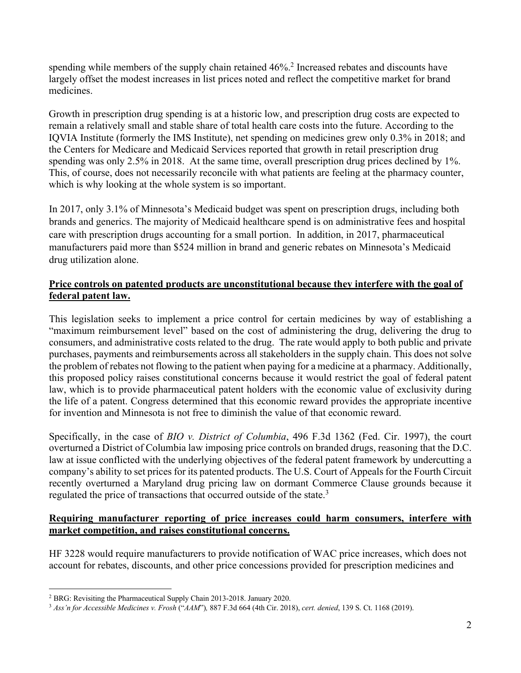spending while members of the supply chain retained 46%.<sup>2</sup> Increased rebates and discounts have largely offset the modest increases in list prices noted and reflect the competitive market for brand medicines.

Growth in prescription drug spending is at a historic low, and prescription drug costs are expected to remain a relatively small and stable share of total health care costs into the future. According to the IQVIA Institute (formerly the IMS Institute), net spending on medicines grew only 0.3% in 2018; and the Centers for Medicare and Medicaid Services reported that growth in retail prescription drug spending was only 2.5% in 2018. At the same time, overall prescription drug prices declined by 1%. This, of course, does not necessarily reconcile with what patients are feeling at the pharmacy counter, which is why looking at the whole system is so important.

In 2017, only 3.1% of Minnesota's Medicaid budget was spent on prescription drugs, including both brands and generics. The majority of Medicaid healthcare spend is on administrative fees and hospital care with prescription drugs accounting for a small portion. In addition, in 2017, pharmaceutical manufacturers paid more than \$524 million in brand and generic rebates on Minnesota's Medicaid drug utilization alone.

## **Price controls on patented products are unconstitutional because they interfere with the goal of federal patent law.**

This legislation seeks to implement a price control for certain medicines by way of establishing a "maximum reimbursement level" based on the cost of administering the drug, delivering the drug to consumers, and administrative costs related to the drug. The rate would apply to both public and private purchases, payments and reimbursements across all stakeholders in the supply chain. This does not solve the problem of rebates not flowing to the patient when paying for a medicine at a pharmacy. Additionally, this proposed policy raises constitutional concerns because it would restrict the goal of federal patent law, which is to provide pharmaceutical patent holders with the economic value of exclusivity during the life of a patent. Congress determined that this economic reward provides the appropriate incentive for invention and Minnesota is not free to diminish the value of that economic reward.

Specifically, in the case of *BIO v. District of Columbia*, 496 F.3d 1362 (Fed. Cir. 1997), the court overturned a District of Columbia law imposing price controls on branded drugs, reasoning that the D.C. law at issue conflicted with the underlying objectives of the federal patent framework by undercutting a company's ability to set prices for its patented products. The U.S. Court of Appeals for the Fourth Circuit recently overturned a Maryland drug pricing law on dormant Commerce Clause grounds because it regulated the price of transactions that occurred outside of the state.<sup>3</sup>

#### **Requiring manufacturer reporting of price increases could harm consumers, interfere with market competition, and raises constitutional concerns.**

HF 3228 would require manufacturers to provide notification of WAC price increases, which does not account for rebates, discounts, and other price concessions provided for prescription medicines and

<sup>&</sup>lt;sup>2</sup> BRG: Revisiting the Pharmaceutical Supply Chain 2013-2018. January 2020.<br><sup>3</sup> *Ass'n for Accessible Medicines v. Frosh* ("*AAM*"), 887 F.3d 664 (4th Cir. 2018), *cert. denied*, 139 S. Ct. 1168 (2019).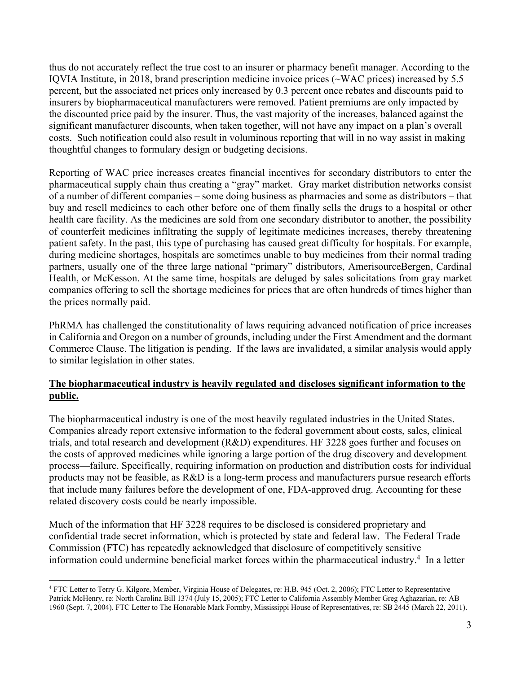thus do not accurately reflect the true cost to an insurer or pharmacy benefit manager. According to the IQVIA Institute, in 2018, brand prescription medicine invoice prices (~WAC prices) increased by 5.5 percent, but the associated net prices only increased by 0.3 percent once rebates and discounts paid to insurers by biopharmaceutical manufacturers were removed. Patient premiums are only impacted by the discounted price paid by the insurer. Thus, the vast majority of the increases, balanced against the significant manufacturer discounts, when taken together, will not have any impact on a plan's overall costs. Such notification could also result in voluminous reporting that will in no way assist in making thoughtful changes to formulary design or budgeting decisions.

Reporting of WAC price increases creates financial incentives for secondary distributors to enter the pharmaceutical supply chain thus creating a "gray" market. Gray market distribution networks consist of a number of different companies – some doing business as pharmacies and some as distributors – that buy and resell medicines to each other before one of them finally sells the drugs to a hospital or other health care facility. As the medicines are sold from one secondary distributor to another, the possibility of counterfeit medicines infiltrating the supply of legitimate medicines increases, thereby threatening patient safety. In the past, this type of purchasing has caused great difficulty for hospitals. For example, during medicine shortages, hospitals are sometimes unable to buy medicines from their normal trading partners, usually one of the three large national "primary" distributors, AmerisourceBergen, Cardinal Health, or McKesson. At the same time, hospitals are deluged by sales solicitations from gray market companies offering to sell the shortage medicines for prices that are often hundreds of times higher than the prices normally paid.

PhRMA has challenged the constitutionality of laws requiring advanced notification of price increases in California and Oregon on a number of grounds, including under the First Amendment and the dormant Commerce Clause. The litigation is pending. If the laws are invalidated, a similar analysis would apply to similar legislation in other states.

## **The biopharmaceutical industry is heavily regulated and discloses significant information to the public.**

The biopharmaceutical industry is one of the most heavily regulated industries in the United States. Companies already report extensive information to the federal government about costs, sales, clinical trials, and total research and development (R&D) expenditures. HF 3228 goes further and focuses on the costs of approved medicines while ignoring a large portion of the drug discovery and development process—failure. Specifically, requiring information on production and distribution costs for individual products may not be feasible, as R&D is a long-term process and manufacturers pursue research efforts that include many failures before the development of one, FDA-approved drug. Accounting for these related discovery costs could be nearly impossible.

Much of the information that HF 3228 requires to be disclosed is considered proprietary and confidential trade secret information, which is protected by state and federal law. The Federal Trade Commission (FTC) has repeatedly acknowledged that disclosure of competitively sensitive information could undermine beneficial market forces within the pharmaceutical industry.4 In a letter

<sup>4</sup> FTC Letter to Terry G. Kilgore, Member, Virginia House of Delegates, re: H.B. 945 (Oct. 2, 2006); FTC Letter to Representative Patrick McHenry, re: North Carolina Bill 1374 (July 15, 2005); FTC Letter to California Assembly Member Greg Aghazarian, re: AB 1960 (Sept. 7, 2004). FTC Letter to The Honorable Mark Formby, Mississippi House of Representatives, re: SB 2445 (March 22, 2011).